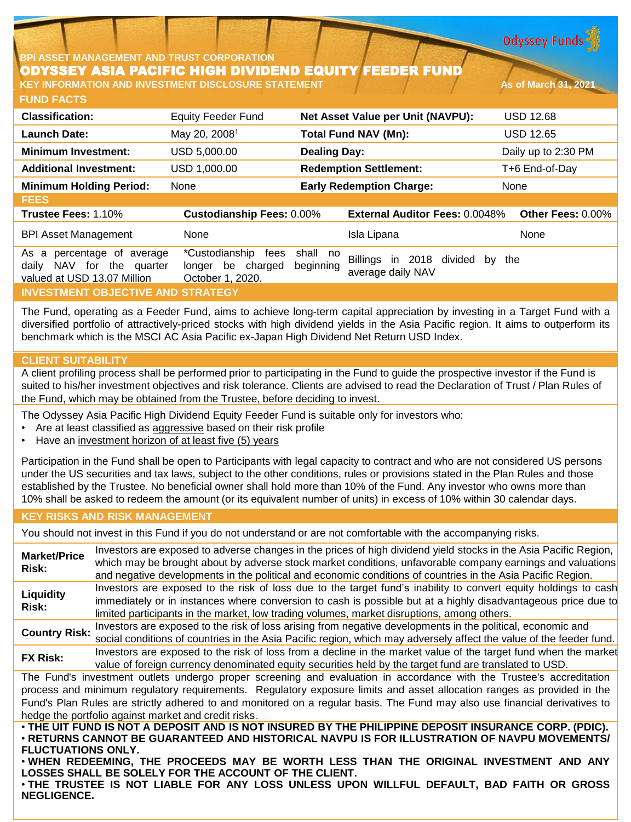**Odyssey Funds** 

### **BPI ASSET MANAGEMENT AND TRUST CORPORATION** ODYSSEY ASIA PACIFIC HIGH DIVIDEND EQUITY FEEDER FUND **KEY INFORMATION AND INVESTMENT DISCLOSURE STATEMENT AND AS OF March 31, 2021**

**FUND FACTS**

| <b>Classification:</b>                                                                                          | <b>Equity Feeder Fund</b>                                          | Net Asset Value per Unit (NAVPU):                                                  | <b>USD 12.68</b>    |
|-----------------------------------------------------------------------------------------------------------------|--------------------------------------------------------------------|------------------------------------------------------------------------------------|---------------------|
| <b>Launch Date:</b>                                                                                             | May 20, 2008 <sup>1</sup>                                          | <b>Total Fund NAV (Mn):</b>                                                        | <b>USD 12.65</b>    |
| <b>Minimum Investment:</b>                                                                                      | USD 5,000.00                                                       | <b>Dealing Day:</b>                                                                | Daily up to 2:30 PM |
| <b>Additional Investment:</b>                                                                                   | USD 1.000.00                                                       | <b>Redemption Settlement:</b>                                                      | T+6 End-of-Day      |
| <b>Minimum Holding Period:</b>                                                                                  | None                                                               | <b>Early Redemption Charge:</b>                                                    | None                |
| <b>FEES</b>                                                                                                     |                                                                    |                                                                                    |                     |
| Trustee Fees: 1.10%                                                                                             | <b>Custodianship Fees: 0.00%</b>                                   | <b>External Auditor Fees: 0.0048%</b>                                              | Other Fees: 0.00%   |
| <b>BPI Asset Management</b>                                                                                     | None                                                               | Isla Lipana                                                                        | None                |
| percentage of average<br>As<br>a<br><b>NAV</b><br>for<br>the<br>dailv<br>quarter<br>valued at USD 13.07 Million | *Custodianship<br>fees<br>be charged<br>longer<br>October 1, 2020. | shall no<br>Billings<br>in 2018<br>divided<br>by<br>beginning<br>average daily NAV | the                 |
| <b>INVESTMENT OBJECTIVE AND STRATEGY</b>                                                                        |                                                                    |                                                                                    |                     |

The Fund, operating as a Feeder Fund, aims to achieve long-term capital appreciation by investing in a Target Fund with a diversified portfolio of attractively-priced stocks with high dividend yields in the Asia Pacific region. It aims to outperform its benchmark which is the MSCI AC Asia Pacific ex-Japan High Dividend Net Return USD Index.

## **CLIENT SUITABILITY**

A client profiling process shall be performed prior to participating in the Fund to guide the prospective investor if the Fund is suited to his/her investment objectives and risk tolerance. Clients are advised to read the Declaration of Trust / Plan Rules of the Fund, which may be obtained from the Trustee, before deciding to invest.

The Odyssey Asia Pacific High Dividend Equity Feeder Fund is suitable only for investors who:

- Are at least classified as aggressive based on their risk profile
- Have an investment horizon of at least five (5) years

Participation in the Fund shall be open to Participants with legal capacity to contract and who are not considered US persons under the US securities and tax laws, subject to the other conditions, rules or provisions stated in the Plan Rules and those established by the Trustee. No beneficial owner shall hold more than 10% of the Fund. Any investor who owns more than 10% shall be asked to redeem the amount (or its equivalent number of units) in excess of 10% within 30 calendar days.

## **KEY RISKS AND RISK MANAGEMENT**

You should not invest in this Fund if you do not understand or are not comfortable with the accompanying risks.

**Market/Price Risk:** Investors are exposed to adverse changes in the prices of high dividend yield stocks in the Asia Pacific Region, which may be brought about by adverse stock market conditions, unfavorable company earnings and valuations and negative developments in the political and economic conditions of countries in the Asia Pacific Region. **Liquidity Risk:** Investors are exposed to the risk of loss due to the target fund's inability to convert equity holdings to cash immediately or in instances where conversion to cash is possible but at a highly disadvantageous price due to limited participants in the market, low trading volumes, market disruptions, among others. **Country Risk:** Investors are exposed to the risk of loss arising from negative developments in the political, economic and social conditions of countries in the Asia Pacific region, which may adversely affect the value of the feeder fund. **FX Risk:** Investors are exposed to the risk of loss from <sup>a</sup> decline in the market value of the target fund when the market value of foreign currency denominated equity securities held by the target fund are translated to USD. The Fund's investment outlets undergo proper screening and evaluation in accordance with the Trustee's accreditation process and minimum regulatory requirements. Regulatory exposure limits and asset allocation ranges as provided in the Fund's Plan Rules are strictly adhered to and monitored on a regular basis. The Fund may also use financial derivatives to hedge the portfolio against market and credit risks. . THE UIT FUND IS NOT A DEPOSIT AND IS NOT INSURED BY THE PHILIPPINE DEPOSIT INSURANCE CORP. (PDIC). • **RETURNS CANNOT BE GUARANTEED AND HISTORICAL NAVPU IS FOR ILLUSTRATION OF NAVPU MOVEMENTS/ FLUCTUATIONS ONLY.**

• **WHEN REDEEMING, THE PROCEEDS MAY BE WORTH LESS THAN THE ORIGINAL INVESTMENT AND ANY LOSSES SHALL BE SOLELY FOR THE ACCOUNT OF THE CLIENT.**

• **THE TRUSTEE IS NOT LIABLE FOR ANY LOSS UNLESS UPON WILLFUL DEFAULT, BAD FAITH OR GROSS NEGLIGENCE.**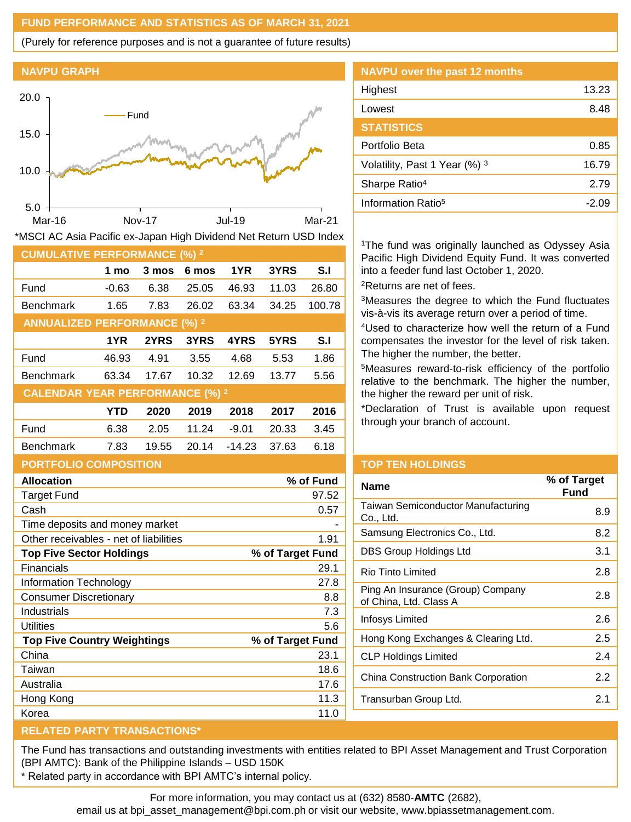## **FUND PERFORMANCE AND STATISTICS AS OF MARCH 31, 2021**

(Purely for reference purposes and is not a guarantee of future results)





|  |  |  | *MSCI AC Asia Pacific ex-Japan High Dividend Net Return USD Index |  |  |
|--|--|--|-------------------------------------------------------------------|--|--|
|  |  |  |                                                                   |  |  |
|  |  |  |                                                                   |  |  |

| <b>CUMULATIVE PERFORMANCE (%) 2</b>    |            |       |       |          |       |        |
|----------------------------------------|------------|-------|-------|----------|-------|--------|
|                                        | 1 mo       | 3 mos | 6 mos | 1YR      | 3YRS  | S.I    |
| Fund                                   | $-0.63$    | 6.38  | 25.05 | 46.93    | 11.03 | 26.80  |
| <b>Benchmark</b>                       | 1.65       | 7.83  | 26.02 | 63.34    | 34.25 | 100.78 |
| <b>ANNUALIZED PERFORMANCE (%) 2</b>    |            |       |       |          |       |        |
|                                        | 1YR        | 2YRS  | 3YRS  | 4YRS     | 5YRS  | S.I    |
| Fund                                   | 46.93      | 4.91  | 3.55  | 4.68     | 5.53  | 1.86   |
| <b>Benchmark</b>                       | 63.34      | 17.67 | 10.32 | 12.69    | 13.77 | 5.56   |
| <b>CALENDAR YEAR PERFORMANCE (%) 2</b> |            |       |       |          |       |        |
|                                        | <b>YTD</b> | 2020  | 2019  | 2018     | 2017  | 2016   |
| Fund                                   | 6.38       | 2.05  | 11.24 | $-9.01$  | 20.33 | 3.45   |
| <b>Benchmark</b>                       | 7.83       | 19.55 | 20.14 | $-14.23$ | 37.63 | 6.18   |
| <b>PORTFOLIO COMPOSITION</b>           |            |       |       |          |       |        |

| <b>Allocation</b>                      | % of Fund        |
|----------------------------------------|------------------|
| Target Fund                            | 97.52            |
| Cash                                   | 0.57             |
| Time deposits and money market         |                  |
| Other receivables - net of liabilities | 1.91             |
| <b>Top Five Sector Holdings</b>        | % of Target Fund |
| Financials                             | 29.1             |
| Information Technology                 | 27.8             |
| Consumer Discretionary                 | 8.8              |
| Industrials                            | 7.3              |
| Utilities                              | 5.6              |
| <b>Top Five Country Weightings</b>     | % of Target Fund |
| China                                  | 23.1             |
| Taiwan                                 | 18.6             |
| Australia                              | 17.6             |
| Hong Kong                              | 11.3             |
| Korea                                  | 11.0             |

# **NAVPU over the past 12 months** Highest 13.23 Lowest 8.48 **STATISTICS** Portfolio Beta 0.85 Volatility, Past 1 Year  $(\%)$ <sup>3</sup> 16.79 Sharpe Ratio<sup>4</sup> 2.79 Information Ratio<sup>5</sup> and C<sub>2.09</sub>

<sup>1</sup>The fund was originally launched as Odyssey Asia Pacific High Dividend Equity Fund. It was converted into a feeder fund last October 1, 2020. <sup>2</sup>Returns are net of fees.

<sup>3</sup>Measures the degree to which the Fund fluctuates vis-à-vis its average return over a period of time.

<sup>4</sup>Used to characterize how well the return of a Fund compensates the investor for the level of risk taken. The higher the number, the better.

<sup>5</sup>Measures reward-to-risk efficiency of the portfolio relative to the benchmark. The higher the number, the higher the reward per unit of risk.

\*Declaration of Trust is available upon request through your branch of account.

### **TOP TEN HOLDINGS**

| Name                                                        | % of Target<br>Fund |
|-------------------------------------------------------------|---------------------|
| Taiwan Semiconductor Manufacturing<br>Co., Ltd.             | 8.9                 |
| Samsung Electronics Co., Ltd.                               | 8.2                 |
| DBS Group Holdings Ltd                                      | 3.1                 |
| Rio Tinto Limited                                           | 2.8                 |
| Ping An Insurance (Group) Company<br>of China, Ltd. Class A | 2.8                 |
| Infosys Limited                                             | 2.6                 |
| Hong Kong Exchanges & Clearing Ltd.                         | 2.5                 |
| <b>CLP Holdings Limited</b>                                 | 2.4                 |
| China Construction Bank Corporation                         | 2.2                 |
| Transurban Group Ltd.                                       | 2.1                 |
|                                                             |                     |

## **RELATED PARTY TRANSACTIONS\***

The Fund has transactions and outstanding investments with entities related to BPI Asset Management and Trust Corporation (BPI AMTC): Bank of the Philippine Islands – USD 150K

\* Related party in accordance with BPI AMTC's internal policy.

For more information, you may contact us at (632) 8580-**AMTC** (2682),

email us at bpi\_asset\_management@bpi.com.ph or visit our website, www.bpiassetmanagement.com.